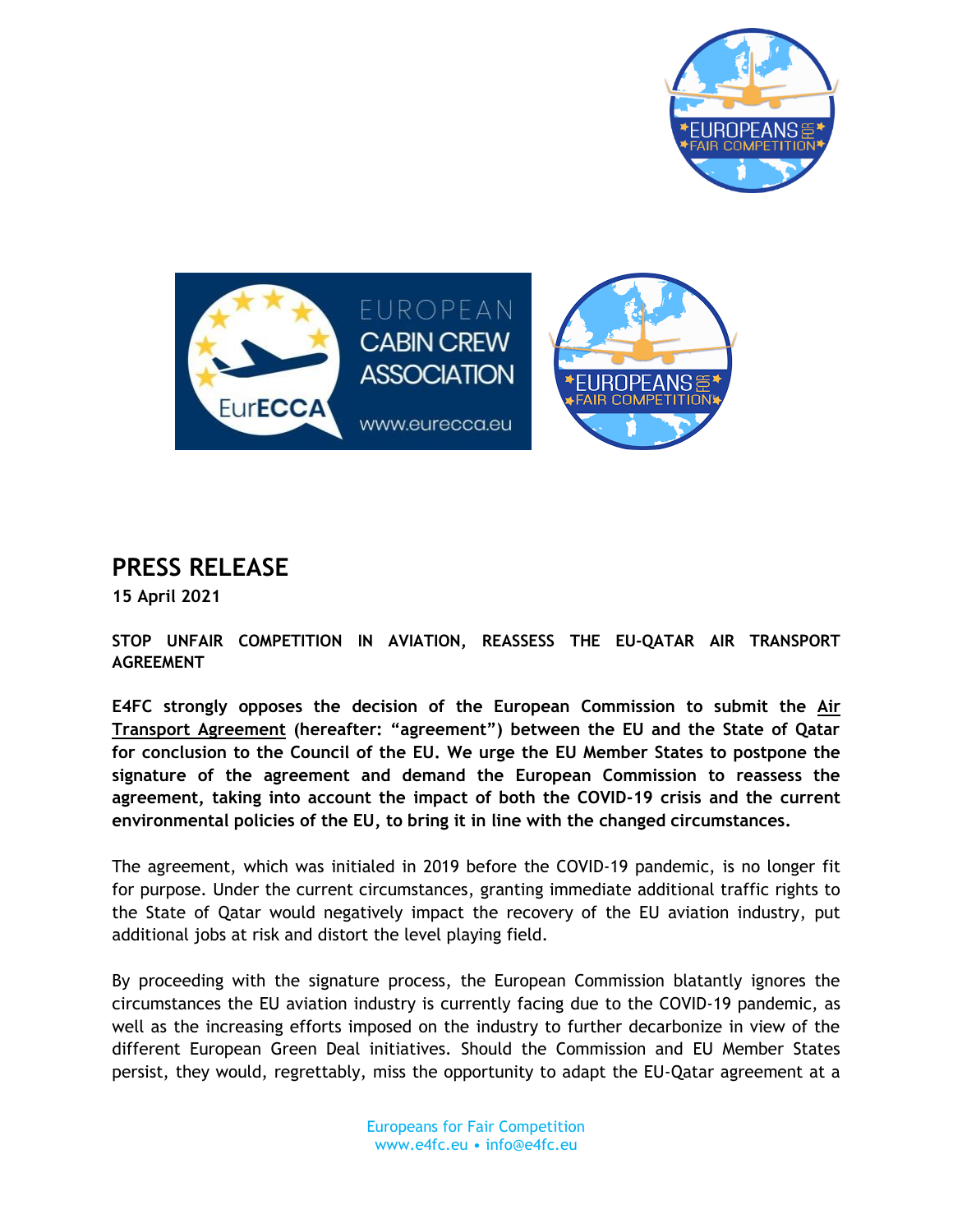



## **PRESS RELEASE**

**15 April 2021**

**STOP UNFAIR COMPETITION IN AVIATION, REASSESS THE EU-QATAR AIR TRANSPORT AGREEMENT** 

**E4FC strongly opposes the decision of the European Commission to submit the [Air](https://ec.europa.eu/transparency/regdoc/rep/1/2021/EN/COM-2021-157-F1-EN-ANNEX-1-PART-1.PDF)  [Transport Agreement](https://ec.europa.eu/transparency/regdoc/rep/1/2021/EN/COM-2021-157-F1-EN-ANNEX-1-PART-1.PDF) (hereafter: "agreement") between the EU and the State of Qatar for conclusion to the Council of the EU. We urge the EU Member States to postpone the signature of the agreement and demand the European Commission to reassess the agreement, taking into account the impact of both the COVID-19 crisis and the current environmental policies of the EU, to bring it in line with the changed circumstances.**

The agreement, which was initialed in 2019 before the COVID-19 pandemic, is no longer fit for purpose. Under the current circumstances, granting immediate additional traffic rights to the State of Qatar would negatively impact the recovery of the EU aviation industry, put additional jobs at risk and distort the level playing field.

By proceeding with the signature process, the European Commission blatantly ignores the circumstances the EU aviation industry is currently facing due to the COVID-19 pandemic, as well as the increasing efforts imposed on the industry to further decarbonize in view of the different European Green Deal initiatives. Should the Commission and EU Member States persist, they would, regrettably, miss the opportunity to adapt the EU-Qatar agreement at a